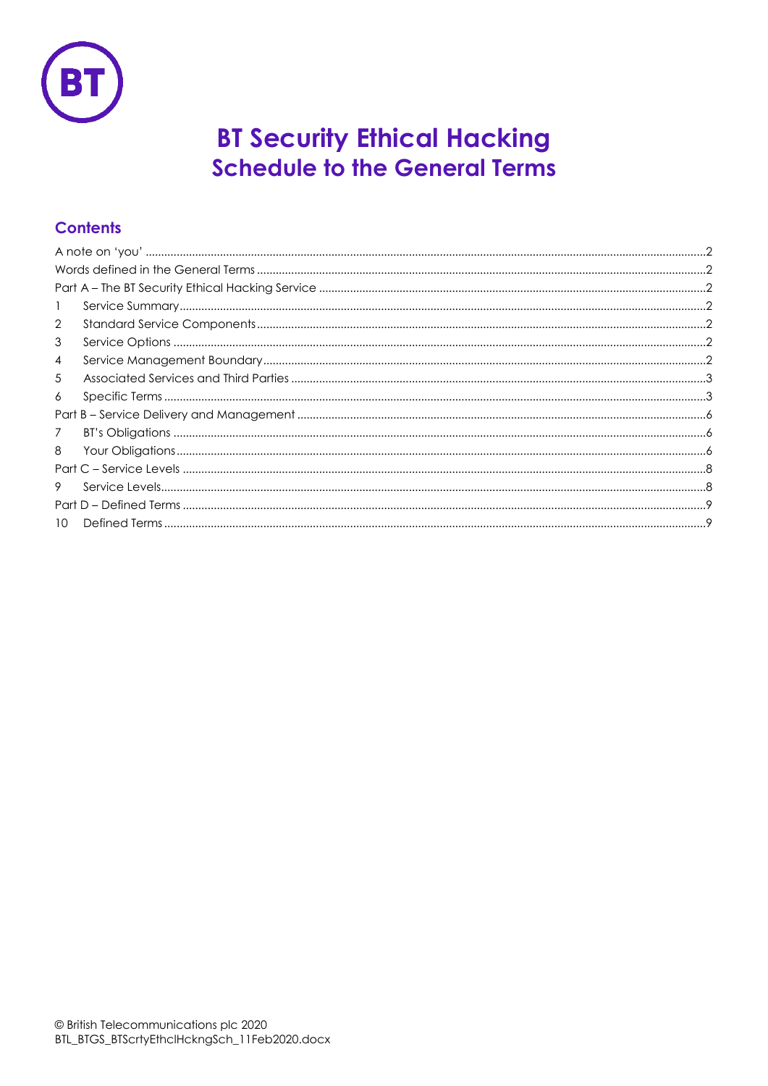

# **BT Security Ethical Hacking Schedule to the General Terms**

### **Contents**

| $\mathbf{1}$   |  |  |
|----------------|--|--|
| $\overline{2}$ |  |  |
| 3              |  |  |
| $\overline{4}$ |  |  |
| 5              |  |  |
| 6              |  |  |
|                |  |  |
| $\overline{7}$ |  |  |
| 8              |  |  |
|                |  |  |
| 9              |  |  |
|                |  |  |
| $10^{-7}$      |  |  |
|                |  |  |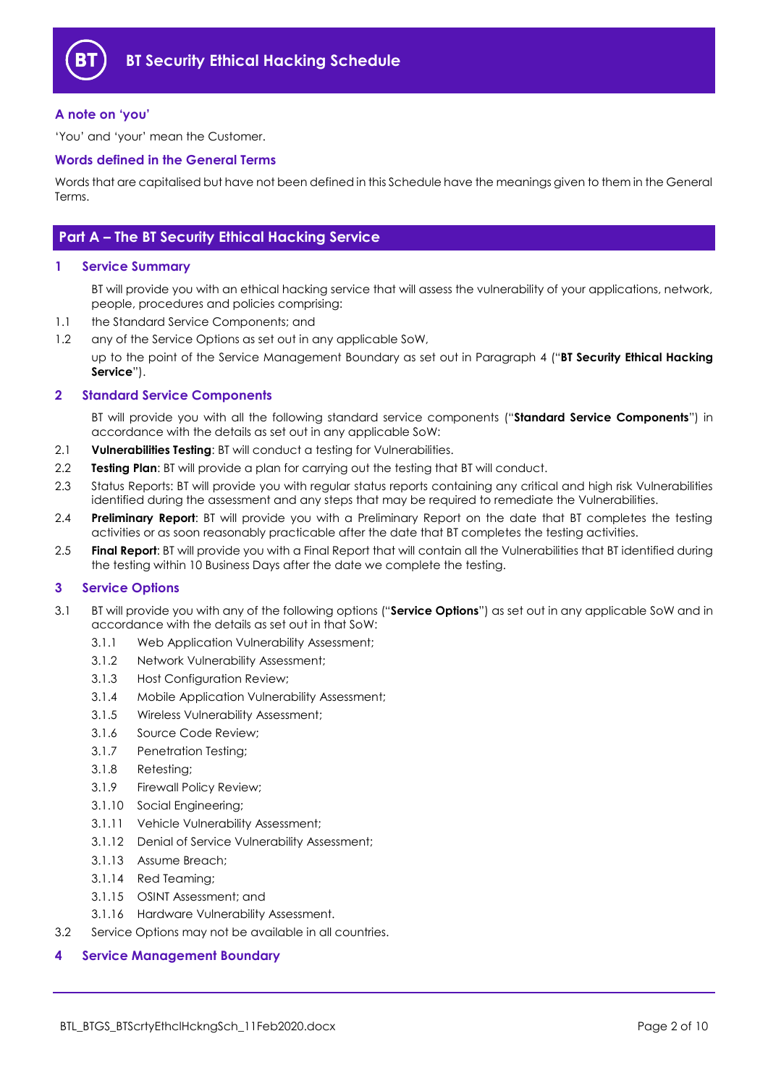

#### <span id="page-1-0"></span>**A note on 'you'**

'You' and 'your' mean the Customer.

#### <span id="page-1-1"></span>**Words defined in the General Terms**

Words that are capitalised but have not been defined in this Schedule have the meanings given to them in the General Terms.

#### <span id="page-1-2"></span>**Part A – The BT Security Ethical Hacking Service**

#### <span id="page-1-3"></span>**1 Service Summary**

BT will provide you with an ethical hacking service that will assess the vulnerability of your applications, network, people, procedures and policies comprising:

- 1.1 the Standard Service Components; and
- 1.2 any of the Service Options as set out in any applicable SoW,

up to the point of the Service Management Boundary as set out in Paragraph [4](#page-1-6) ("**BT Security Ethical Hacking Service**").

#### <span id="page-1-4"></span>**2 Standard Service Components**

BT will provide you with all the following standard service components ("**Standard Service Components**") in accordance with the details as set out in any applicable SoW:

- 2.1 **Vulnerabilities Testing**: BT will conduct a testing for Vulnerabilities.
- 2.2 **Testing Plan**: BT will provide a plan for carrying out the testing that BT will conduct.
- 2.3 Status Reports: BT will provide you with regular status reports containing any critical and high risk Vulnerabilities identified during the assessment and any steps that may be required to remediate the Vulnerabilities.
- 2.4 **Preliminary Report**: BT will provide you with a Preliminary Report on the date that BT completes the testing activities or as soon reasonably practicable after the date that BT completes the testing activities.
- 2.5 **Final Report**: BT will provide you with a Final Report that will contain all the Vulnerabilities that BT identified during the testing within 10 Business Days after the date we complete the testing.

#### <span id="page-1-5"></span>**3 Service Options**

- 3.1 BT will provide you with any of the following options ("**Service Options**") as set out in any applicable SoW and in accordance with the details as set out in that SoW:
	- 3.1.1 Web Application Vulnerability Assessment;
	- 3.1.2 Network Vulnerability Assessment;
	- 3.1.3 Host Configuration Review;
	- 3.1.4 Mobile Application Vulnerability Assessment;
	- 3.1.5 Wireless Vulnerability Assessment;
	- 3.1.6 Source Code Review;
	- 3.1.7 Penetration Testing;
	- 3.1.8 Retesting;
	- 3.1.9 Firewall Policy Review;
	- 3.1.10 Social Engineering;
	- 3.1.11 Vehicle Vulnerability Assessment;
	- 3.1.12 Denial of Service Vulnerability Assessment;
	- 3.1.13 Assume Breach;
	- 3.1.14 Red Teaming;
	- 3.1.15 OSINT Assessment; and
	- 3.1.16 Hardware Vulnerability Assessment.
- 3.2 Service Options may not be available in all countries.

#### <span id="page-1-6"></span>**4 Service Management Boundary**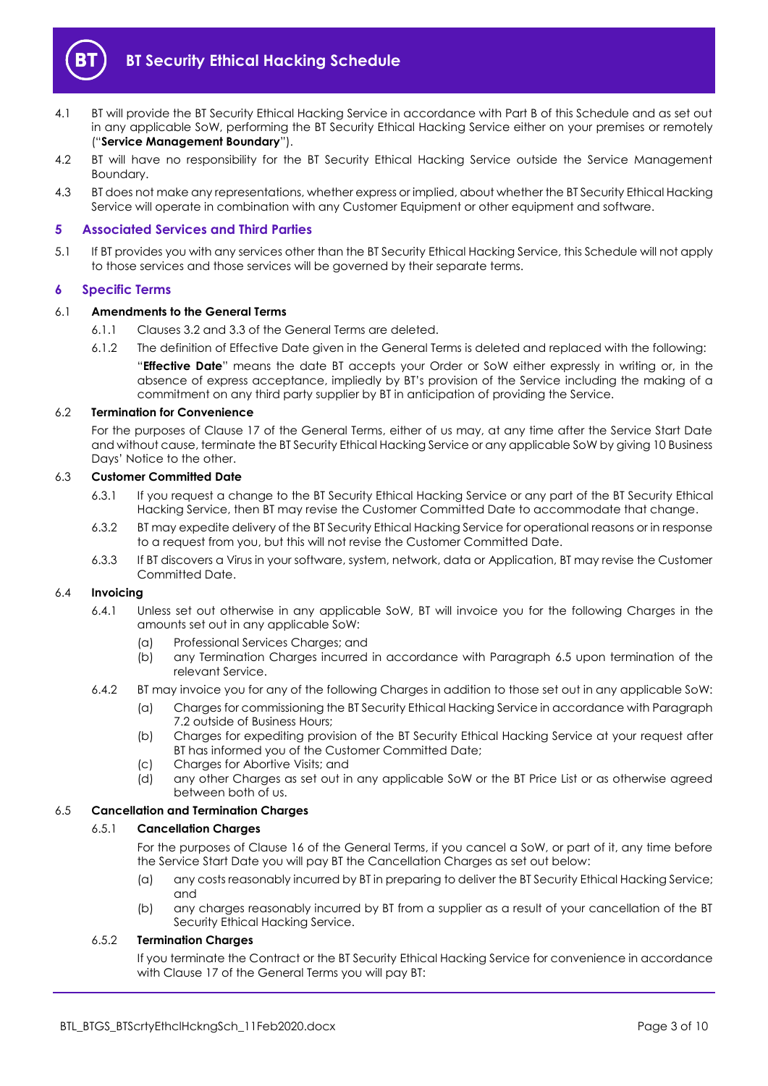

- <span id="page-2-3"></span>4.1 BT will provide the BT Security Ethical Hacking Service in accordance with Part B of this Schedule and as set out in any applicable SoW, performing the BT Security Ethical Hacking Service either on your premises or remotely ("**Service Management Boundary**").
- 4.2 BT will have no responsibility for the BT Security Ethical Hacking Service outside the Service Management Boundary.
- 4.3 BT does not make any representations, whether express or implied, about whether the BT Security Ethical Hacking Service will operate in combination with any Customer Equipment or other equipment and software.

#### <span id="page-2-0"></span>**5 Associated Services and Third Parties**

5.1 If BT provides you with any services other than the BT Security Ethical Hacking Service, this Schedule will not apply to those services and those services will be governed by their separate terms.

#### <span id="page-2-1"></span>**6 Specific Terms**

#### 6.1 **Amendments to the General Terms**

- 6.1.1 Clauses 3.2 and 3.3 of the General Terms are deleted.
- 6.1.2 The definition of Effective Date given in the General Terms is deleted and replaced with the following:

"**Effective Date**" means the date BT accepts your Order or SoW either expressly in writing or, in the absence of express acceptance, impliedly by BT's provision of the Service including the making of a commitment on any third party supplier by BT in anticipation of providing the Service.

#### 6.2 **Termination for Convenience**

For the purposes of Clause 17 of the General Terms, either of us may, at any time after the Service Start Date and without cause, terminate the BT Security Ethical Hacking Service or any applicable SoW by giving 10 Business Days' Notice to the other.

#### 6.3 **Customer Committed Date**

- 6.3.1 If you request a change to the BT Security Ethical Hacking Service or any part of the BT Security Ethical Hacking Service, then BT may revise the Customer Committed Date to accommodate that change.
- 6.3.2 BT may expedite delivery of the BT Security Ethical Hacking Service for operational reasons or in response to a request from you, but this will not revise the Customer Committed Date.
- 6.3.3 If BT discovers a Virus in your software, system, network, data or Application, BT may revise the Customer Committed Date.

#### 6.4 **Invoicing**

- 6.4.1 Unless set out otherwise in any applicable SoW, BT will invoice you for the following Charges in the amounts set out in any applicable SoW:
	- (a) Professional Services Charges; and
	- (b) any Termination Charges incurred in accordance with Paragraph [6.5](#page-2-2) upon termination of the relevant Service.
- 6.4.2 BT may invoice you for any of the following Charges in addition to those set out in any applicable SoW:
	- (a) Charges for commissioning the BT Security Ethical Hacking Service in accordance with Paragraph [7.2](#page-5-3) outside of Business Hours;
	- (b) Charges for expediting provision of the BT Security Ethical Hacking Service at your request after BT has informed you of the Customer Committed Date;
	- (c) Charges for Abortive Visits; and
	- (d) any other Charges as set out in any applicable SoW or the BT Price List or as otherwise agreed between both of us.

#### <span id="page-2-2"></span>6.5 **Cancellation and Termination Charges**

#### 6.5.1 **Cancellation Charges**

For the purposes of Clause 16 of the General Terms, if you cancel a SoW, or part of it, any time before the Service Start Date you will pay BT the Cancellation Charges as set out below:

- (a) any costs reasonably incurred by BT in preparing to deliver the BT Security Ethical Hacking Service; and
- (b) any charges reasonably incurred by BT from a supplier as a result of your cancellation of the BT Security Ethical Hacking Service.

#### 6.5.2 **Termination Charges**

If you terminate the Contract or the BT Security Ethical Hacking Service for convenience in accordance with Clause 17 of the General Terms you will pay BT: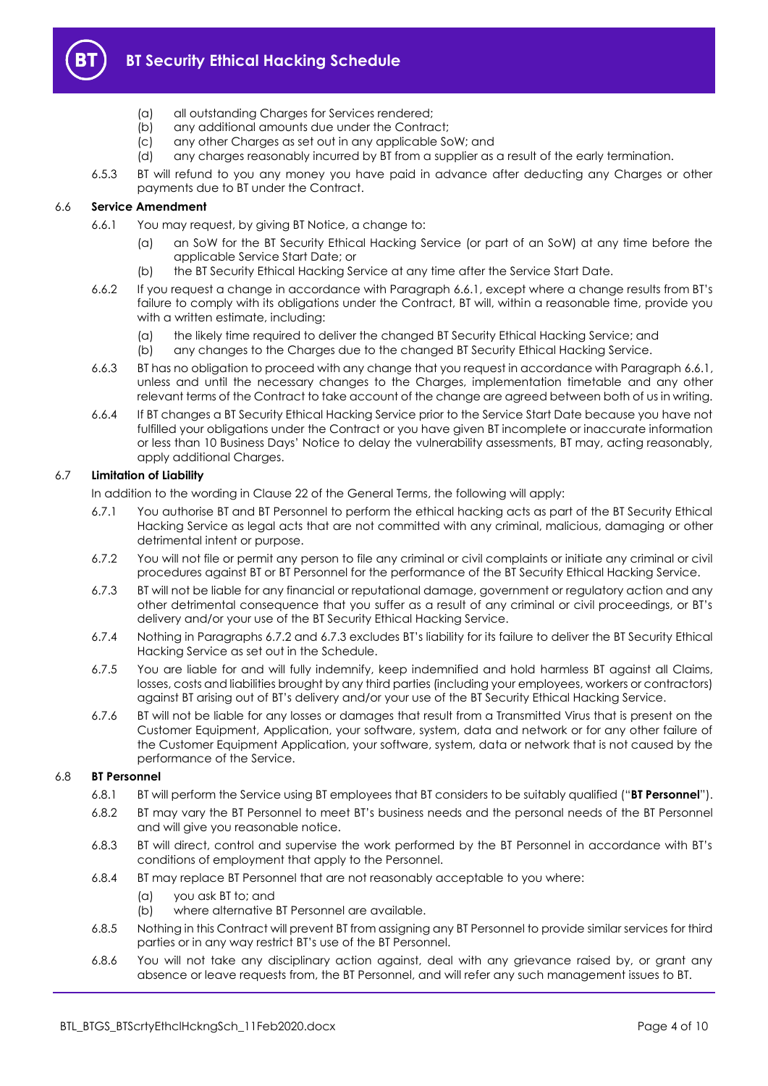

- (a) all outstanding Charges for Services rendered;
- (b) any additional amounts due under the Contract;
- (c) any other Charges as set out in any applicable SoW; and
- (d) any charges reasonably incurred by BT from a supplier as a result of the early termination.
- 6.5.3 BT will refund to you any money you have paid in advance after deducting any Charges or other payments due to BT under the Contract.

#### <span id="page-3-0"></span>6.6 **Service Amendment**

- 6.6.1 You may request, by giving BT Notice, a change to:
	- (a) an SoW for the BT Security Ethical Hacking Service (or part of an SoW) at any time before the applicable Service Start Date; or
	- (b) the BT Security Ethical Hacking Service at any time after the Service Start Date.
- 6.6.2 If you request a change in accordance with Paragrap[h 6.6.1](#page-3-0), except where a change results from BT's failure to comply with its obligations under the Contract, BT will, within a reasonable time, provide you with a written estimate, including:
	- (a) the likely time required to deliver the changed BT Security Ethical Hacking Service; and
	- (b) any changes to the Charges due to the changed BT Security Ethical Hacking Service.
- 6.6.3 BT has no obligation to proceed with any change that you request in accordance with Paragrap[h 6.6.1,](#page-3-0)  unless and until the necessary changes to the Charges, implementation timetable and any other relevant terms of the Contract to take account of the change are agreed between both of us in writing.
- 6.6.4 If BT changes a BT Security Ethical Hacking Service prior to the Service Start Date because you have not fulfilled your obligations under the Contract or you have given BT incomplete or inaccurate information or less than 10 Business Days' Notice to delay the vulnerability assessments, BT may, acting reasonably, apply additional Charges.

#### 6.7 **Limitation of Liability**

In addition to the wording in Clause 22 of the General Terms, the following will apply:

- 6.7.1 You authorise BT and BT Personnel to perform the ethical hacking acts as part of the BT Security Ethical Hacking Service as legal acts that are not committed with any criminal, malicious, damaging or other detrimental intent or purpose.
- 6.7.2 You will not file or permit any person to file any criminal or civil complaints or initiate any criminal or civil procedures against BT or BT Personnel for the performance of the BT Security Ethical Hacking Service.
- 6.7.3 BT will not be liable for any financial or reputational damage, government or regulatory action and any other detrimental consequence that you suffer as a result of any criminal or civil proceedings, or BT's delivery and/or your use of the BT Security Ethical Hacking Service.
- 6.7.4 Nothing in Paragraphs 6.7.2 and 6.7.3 excludes BT's liability for its failure to deliver the BT Security Ethical Hacking Service as set out in the Schedule.
- 6.7.5 You are liable for and will fully indemnify, keep indemnified and hold harmless BT against all Claims, losses, costs and liabilities brought by any third parties (including your employees, workers or contractors) against BT arising out of BT's delivery and/or your use of the BT Security Ethical Hacking Service.
- 6.7.6 BT will not be liable for any losses or damages that result from a Transmitted Virus that is present on the Customer Equipment, Application, your software, system, data and network or for any other failure of the Customer Equipment Application, your software, system, data or network that is not caused by the performance of the Service.

#### <span id="page-3-1"></span>6.8 **BT Personnel**

- 6.8.1 BT will perform the Service using BT employees that BT considers to be suitably qualified ("**BT Personnel**").
- 6.8.2 BT may vary the BT Personnel to meet BT's business needs and the personal needs of the BT Personnel and will give you reasonable notice.
- 6.8.3 BT will direct, control and supervise the work performed by the BT Personnel in accordance with BT's conditions of employment that apply to the Personnel.
- 6.8.4 BT may replace BT Personnel that are not reasonably acceptable to you where:
	- (a) you ask BT to; and
	- (b) where alternative BT Personnel are available.
- 6.8.5 Nothing in this Contract will prevent BT from assigning any BT Personnel to provide similar services for third parties or in any way restrict BT's use of the BT Personnel.
- 6.8.6 You will not take any disciplinary action against, deal with any grievance raised by, or grant any absence or leave requests from, the BT Personnel, and will refer any such management issues to BT.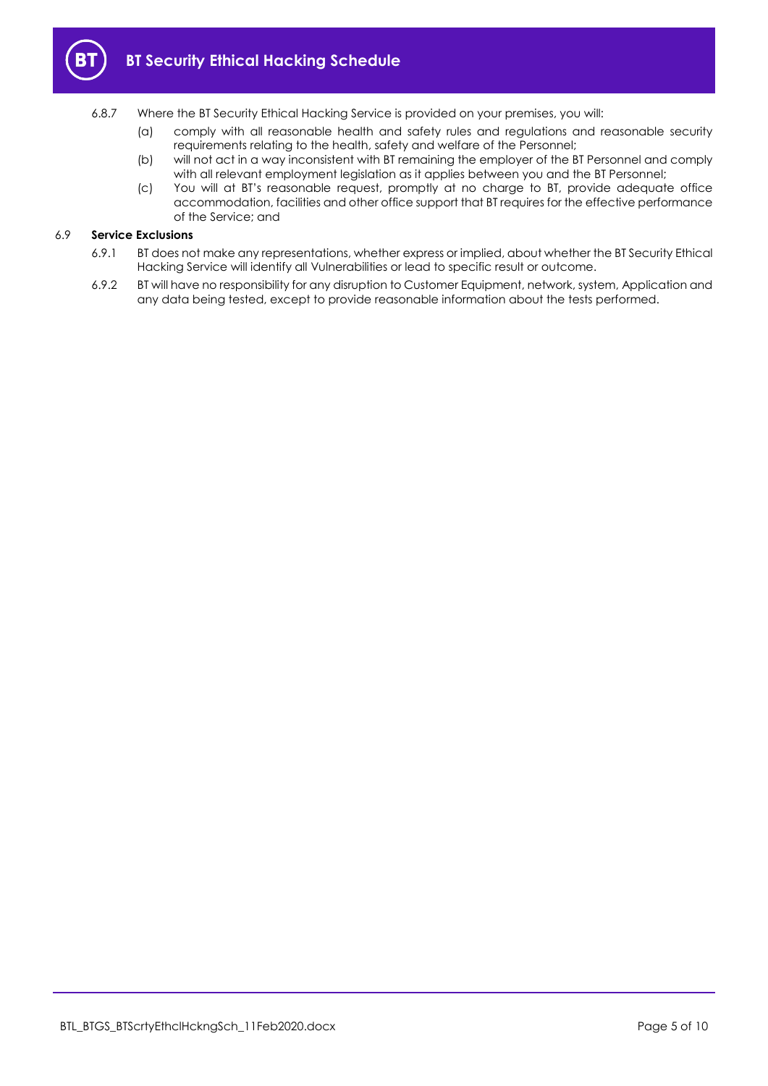

- 6.8.7 Where the BT Security Ethical Hacking Service is provided on your premises, you will:
	- (a) comply with all reasonable health and safety rules and regulations and reasonable security requirements relating to the health, safety and welfare of the Personnel;
	- (b) will not act in a way inconsistent with BT remaining the employer of the BT Personnel and comply with all relevant employment legislation as it applies between you and the BT Personnel;
	- (c) You will at BT's reasonable request, promptly at no charge to BT, provide adequate office accommodation, facilities and other office support that BT requires for the effective performance of the Service; and

#### 6.9 **Service Exclusions**

- 6.9.1 BT does not make any representations, whether express or implied, about whether the BT Security Ethical Hacking Service will identify all Vulnerabilities or lead to specific result or outcome.
- 6.9.2 BT will have no responsibility for any disruption to Customer Equipment, network, system, Application and any data being tested, except to provide reasonable information about the tests performed.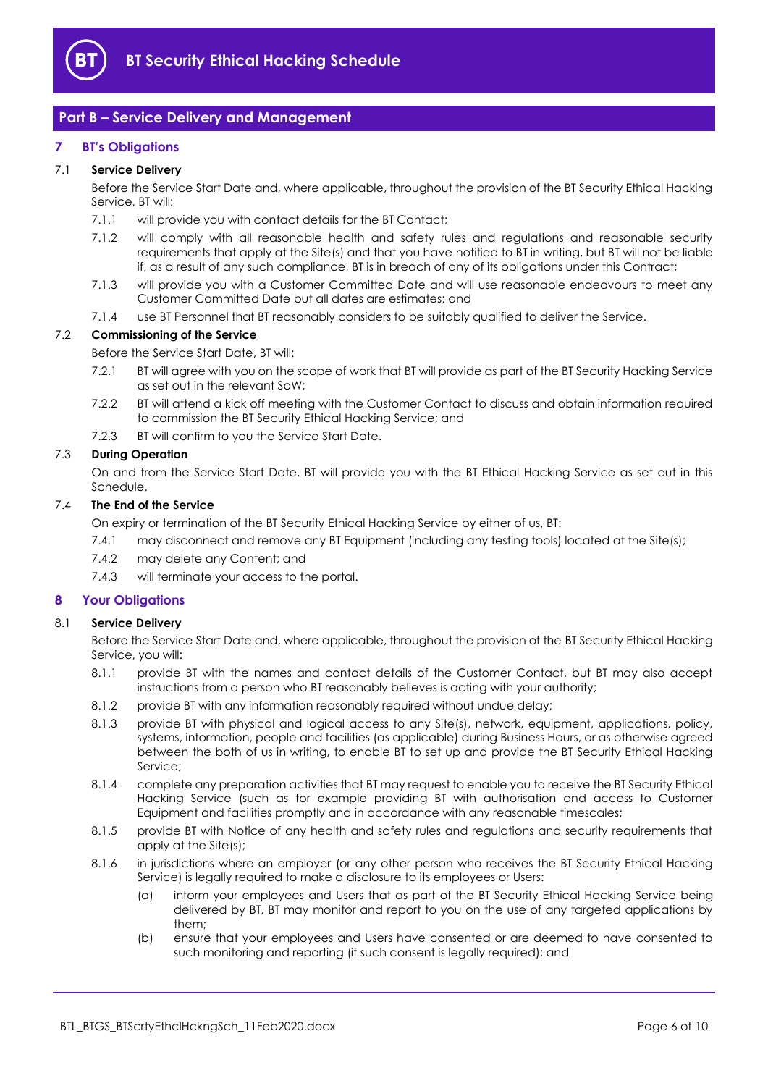

#### <span id="page-5-0"></span>**Part B – Service Delivery and Management**

#### <span id="page-5-1"></span>**7 BT's Obligations**

#### 7.1 **Service Delivery**

Before the Service Start Date and, where applicable, throughout the provision of the BT Security Ethical Hacking Service, BT will:

- 7.1.1 will provide you with contact details for the BT Contact;
- 7.1.2 will comply with all reasonable health and safety rules and regulations and reasonable security requirements that apply at the Site(s) and that you have notified to BT in writing, but BT will not be liable if, as a result of any such compliance, BT is in breach of any of its obligations under this Contract;
- 7.1.3 will provide you with a Customer Committed Date and will use reasonable endeavours to meet any Customer Committed Date but all dates are estimates; and
- 7.1.4 use BT Personnel that BT reasonably considers to be suitably qualified to deliver the Service.

#### <span id="page-5-3"></span>7.2 **Commissioning of the Service**

Before the Service Start Date, BT will:

- 7.2.1 BT will agree with you on the scope of work that BT will provide as part of the BT Security Hacking Service as set out in the relevant SoW;
- 7.2.2 BT will attend a kick off meeting with the Customer Contact to discuss and obtain information required to commission the BT Security Ethical Hacking Service; and
- 7.2.3 BT will confirm to you the Service Start Date.

#### 7.3 **During Operation**

On and from the Service Start Date, BT will provide you with the BT Ethical Hacking Service as set out in this Schedule.

#### 7.4 **The End of the Service**

On expiry or termination of the BT Security Ethical Hacking Service by either of us, BT:

- 7.4.1 may disconnect and remove any BT Equipment (including any testing tools) located at the Site(s);
- 7.4.2 may delete any Content; and
- 7.4.3 will terminate your access to the portal.

#### <span id="page-5-2"></span>**8 Your Obligations**

#### 8.1 **Service Delivery**

Before the Service Start Date and, where applicable, throughout the provision of the BT Security Ethical Hacking Service, you will:

- 8.1.1 provide BT with the names and contact details of the Customer Contact, but BT may also accept instructions from a person who BT reasonably believes is acting with your authority;
- 8.1.2 provide BT with any information reasonably required without undue delay;
- 8.1.3 provide BT with physical and logical access to any Site(s), network, equipment, applications, policy, systems, information, people and facilities (as applicable) during Business Hours, or as otherwise agreed between the both of us in writing, to enable BT to set up and provide the BT Security Ethical Hacking Service;
- 8.1.4 complete any preparation activities that BT may request to enable you to receive the BT Security Ethical Hacking Service (such as for example providing BT with authorisation and access to Customer Equipment and facilities promptly and in accordance with any reasonable timescales;
- 8.1.5 provide BT with Notice of any health and safety rules and regulations and security requirements that apply at the Site(s);
- <span id="page-5-4"></span>8.1.6 in jurisdictions where an employer (or any other person who receives the BT Security Ethical Hacking Service) is legally required to make a disclosure to its employees or Users:
	- (a) inform your employees and Users that as part of the BT Security Ethical Hacking Service being delivered by BT, BT may monitor and report to you on the use of any targeted applications by them;
	- (b) ensure that your employees and Users have consented or are deemed to have consented to such monitoring and reporting (if such consent is legally required); and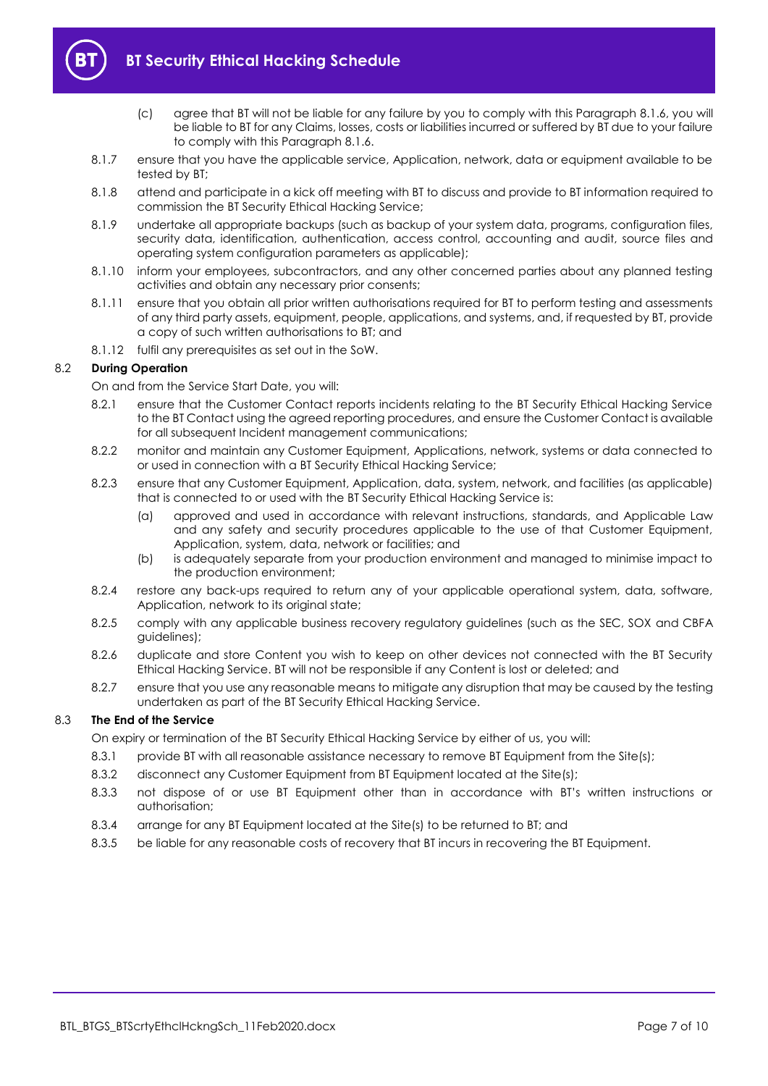

- (c) agree that BT will not be liable for any failure by you to comply with this Paragraph [8.1.6,](#page-5-4) you will be liable to BT for any Claims, losses, costs or liabilities incurred or suffered by BT due to your failure to comply with this Paragrap[h 8.1.6.](#page-5-4)
- 8.1.7 ensure that you have the applicable service, Application, network, data or equipment available to be tested by BT;
- 8.1.8 attend and participate in a kick off meeting with BT to discuss and provide to BT information required to commission the BT Security Ethical Hacking Service;
- 8.1.9 undertake all appropriate backups (such as backup of your system data, programs, configuration files, security data, identification, authentication, access control, accounting and audit, source files and operating system configuration parameters as applicable);
- 8.1.10 inform your employees, subcontractors, and any other concerned parties about any planned testing activities and obtain any necessary prior consents;
- 8.1.11 ensure that you obtain all prior written authorisations required for BT to perform testing and assessments of any third party assets, equipment, people, applications, and systems, and, if requested by BT, provide a copy of such written authorisations to BT; and
- 8.1.12 fulfil any prerequisites as set out in the SoW.

#### 8.2 **During Operation**

On and from the Service Start Date, you will:

- 8.2.1 ensure that the Customer Contact reports incidents relating to the BT Security Ethical Hacking Service to the BT Contact using the agreed reporting procedures, and ensure the Customer Contact is available for all subsequent Incident management communications;
- 8.2.2 monitor and maintain any Customer Equipment, Applications, network, systems or data connected to or used in connection with a BT Security Ethical Hacking Service;
- 8.2.3 ensure that any Customer Equipment, Application, data, system, network, and facilities (as applicable) that is connected to or used with the BT Security Ethical Hacking Service is:
	- (a) approved and used in accordance with relevant instructions, standards, and Applicable Law and any safety and security procedures applicable to the use of that Customer Equipment, Application, system, data, network or facilities; and
	- (b) is adequately separate from your production environment and managed to minimise impact to the production environment;
- 8.2.4 restore any back-ups required to return any of your applicable operational system, data, software, Application, network to its original state;
- 8.2.5 comply with any applicable business recovery regulatory guidelines (such as the SEC, SOX and CBFA guidelines);
- 8.2.6 duplicate and store Content you wish to keep on other devices not connected with the BT Security Ethical Hacking Service. BT will not be responsible if any Content is lost or deleted; and
- 8.2.7 ensure that you use any reasonable means to mitigate any disruption that may be caused by the testing undertaken as part of the BT Security Ethical Hacking Service.

#### 8.3 **The End of the Service**

On expiry or termination of the BT Security Ethical Hacking Service by either of us, you will:

- 8.3.1 provide BT with all reasonable assistance necessary to remove BT Equipment from the Site(s);
- 8.3.2 disconnect any Customer Equipment from BT Equipment located at the Site(s);
- 8.3.3 not dispose of or use BT Equipment other than in accordance with BT's written instructions or authorisation;
- 8.3.4 arrange for any BT Equipment located at the Site(s) to be returned to BT; and
- 8.3.5 be liable for any reasonable costs of recovery that BT incurs in recovering the BT Equipment.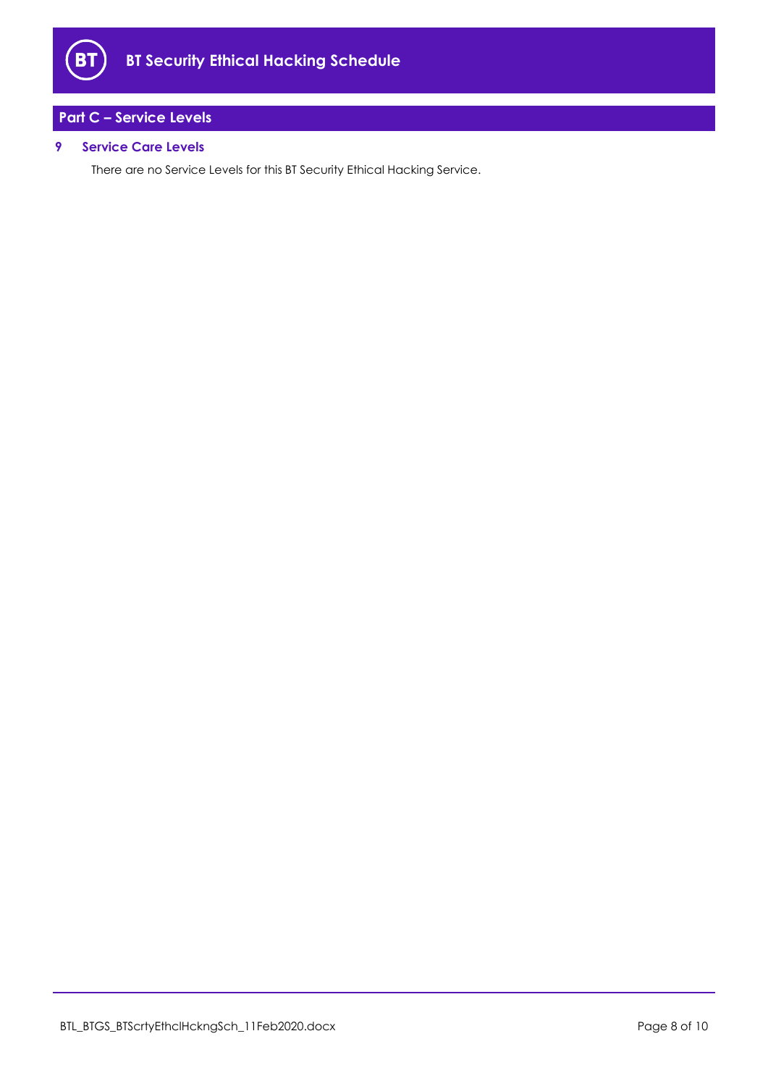

## <span id="page-7-0"></span>**Part C – Service Levels**

#### <span id="page-7-1"></span>**9 Service Care Levels**

There are no Service Levels for this BT Security Ethical Hacking Service.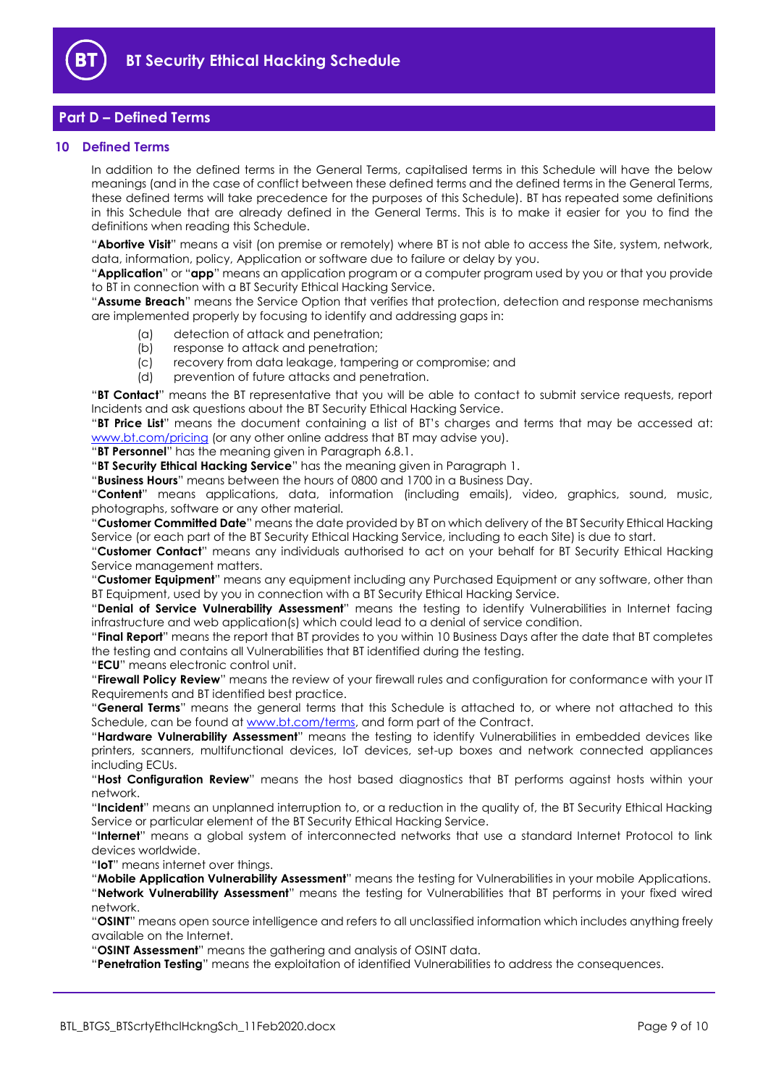

#### <span id="page-8-0"></span>**Part D – Defined Terms**

#### <span id="page-8-1"></span>**10 Defined Terms**

In addition to the defined terms in the General Terms, capitalised terms in this Schedule will have the below meanings (and in the case of conflict between these defined terms and the defined terms in the General Terms, these defined terms will take precedence for the purposes of this Schedule). BT has repeated some definitions in this Schedule that are already defined in the General Terms. This is to make it easier for you to find the definitions when reading this Schedule.

"**Abortive Visit**" means a visit (on premise or remotely) where BT is not able to access the Site, system, network, data, information, policy, Application or software due to failure or delay by you.

"**Application**" or "**app**" means an application program or a computer program used by you or that you provide to BT in connection with a BT Security Ethical Hacking Service.

"**Assume Breach**" means the Service Option that verifies that protection, detection and response mechanisms are implemented properly by focusing to identify and addressing gaps in:

- (a) detection of attack and penetration;
- (b) response to attack and penetration;
- (c) recovery from data leakage, tampering or compromise; and
- (d) prevention of future attacks and penetration.

"**BT Contact**" means the BT representative that you will be able to contact to submit service requests, report Incidents and ask questions about the BT Security Ethical Hacking Service.

"**BT Price List**" means the document containing a list of BT's charges and terms that may be accessed at: [www.bt.com/pricing](http://www.bt.com/pricing) (or any other online address that BT may advise you).

"**BT Personnel**" has the meaning given in Paragraph [6.8.1.](#page-3-1)

"**BT Security Ethical Hacking Service**" has the meaning given in Paragraph [1.](#page-1-3)

"**Business Hours**" means between the hours of 0800 and 1700 in a Business Day.

"**Content**" means applications, data, information (including emails), video, graphics, sound, music, photographs, software or any other material.

"**Customer Committed Date**" means the date provided by BT on which delivery of the BT Security Ethical Hacking Service (or each part of the BT Security Ethical Hacking Service, including to each Site) is due to start.

"**Customer Contact**" means any individuals authorised to act on your behalf for BT Security Ethical Hacking Service management matters.

"**Customer Equipment**" means any equipment including any Purchased Equipment or any software, other than BT Equipment, used by you in connection with a BT Security Ethical Hacking Service.

"**Denial of Service Vulnerability Assessment**" means the testing to identify Vulnerabilities in Internet facing infrastructure and web application(s) which could lead to a denial of service condition.

"**Final Report**" means the report that BT provides to you within 10 Business Days after the date that BT completes the testing and contains all Vulnerabilities that BT identified during the testing.

"**ECU**" means electronic control unit.

"**Firewall Policy Review**" means the review of your firewall rules and configuration for conformance with your IT Requirements and BT identified best practice.

"**General Terms**" means the general terms that this Schedule is attached to, or where not attached to this Schedule, can be found at [www.bt.com/terms,](http://www.bt.com/terms) and form part of the Contract.

"**Hardware Vulnerability Assessment**" means the testing to identify Vulnerabilities in embedded devices like printers, scanners, multifunctional devices, IoT devices, set-up boxes and network connected appliances including ECUs.

"**Host Configuration Review**" means the host based diagnostics that BT performs against hosts within your network.

"**Incident**" means an unplanned interruption to, or a reduction in the quality of, the BT Security Ethical Hacking Service or particular element of the BT Security Ethical Hacking Service.

"**Internet**" means a global system of interconnected networks that use a standard Internet Protocol to link devices worldwide.

"**IoT**" means internet over things.

"**Mobile Application Vulnerability Assessment**" means the testing for Vulnerabilities in your mobile Applications. "**Network Vulnerability Assessment**" means the testing for Vulnerabilities that BT performs in your fixed wired network.

"**OSINT**" means open source intelligence and refers to all unclassified information which includes anything freely available on the Internet.

"**OSINT Assessment**" means the gathering and analysis of OSINT data.

"**Penetration Testing**" means the exploitation of identified Vulnerabilities to address the consequences.